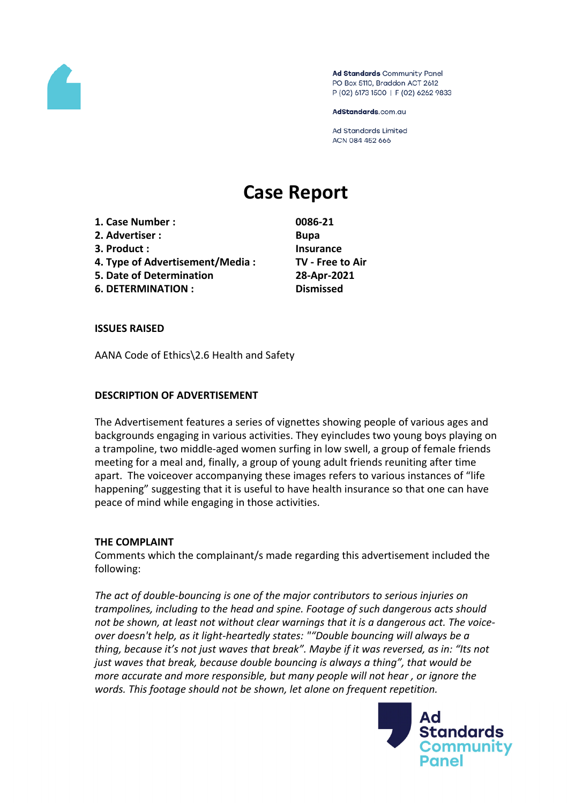

Ad Standards Community Panel PO Box 5110, Braddon ACT 2612 P (02) 6173 1500 | F (02) 6262 9833

AdStandards.com.au

**Ad Standards Limited** ACN 084 452 666

# **Case Report**

- **1. Case Number : 0086-21 2. Advertiser : Bupa**
- **3. Product : Insurance**
- **4. Type of Advertisement/Media : TV - Free to Air**
- **5. Date of Determination 28-Apr-2021**
- **6. DETERMINATION : Dismissed**

# **ISSUES RAISED**

AANA Code of Ethics\2.6 Health and Safety

# **DESCRIPTION OF ADVERTISEMENT**

The Advertisement features a series of vignettes showing people of various ages and backgrounds engaging in various activities. They eyincludes two young boys playing on a trampoline, two middle-aged women surfing in low swell, a group of female friends meeting for a meal and, finally, a group of young adult friends reuniting after time apart. The voiceover accompanying these images refers to various instances of "life happening" suggesting that it is useful to have health insurance so that one can have peace of mind while engaging in those activities.

## **THE COMPLAINT**

Comments which the complainant/s made regarding this advertisement included the following:

*The act of double-bouncing is one of the major contributors to serious injuries on trampolines, including to the head and spine. Footage of such dangerous acts should not be shown, at least not without clear warnings that it is a dangerous act. The voiceover doesn't help, as it light-heartedly states: ""Double bouncing will always be a thing, because it's not just waves that break". Maybe if it was reversed, as in: "Its not just waves that break, because double bouncing is always a thing", that would be more accurate and more responsible, but many people will not hear , or ignore the words. This footage should not be shown, let alone on frequent repetition.*

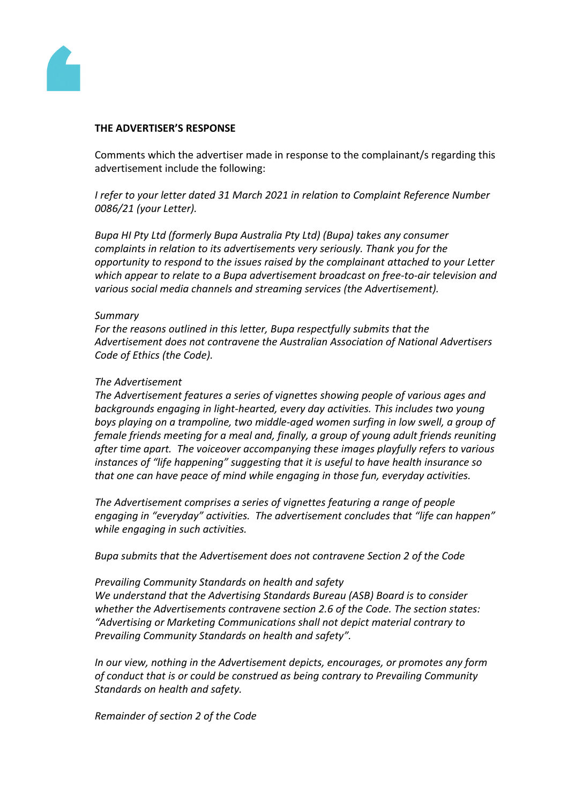

#### **THE ADVERTISER'S RESPONSE**

Comments which the advertiser made in response to the complainant/s regarding this advertisement include the following:

*I refer to your letter dated 31 March 2021 in relation to Complaint Reference Number 0086/21 (your Letter).* 

*Bupa HI Pty Ltd (formerly Bupa Australia Pty Ltd) (Bupa) takes any consumer complaints in relation to its advertisements very seriously. Thank you for the opportunity to respond to the issues raised by the complainant attached to your Letter which appear to relate to a Bupa advertisement broadcast on free-to-air television and various social media channels and streaming services (the Advertisement).* 

#### *Summary*

*For the reasons outlined in this letter, Bupa respectfully submits that the Advertisement does not contravene the Australian Association of National Advertisers Code of Ethics (the Code).* 

#### *The Advertisement*

*The Advertisement features a series of vignettes showing people of various ages and backgrounds engaging in light-hearted, every day activities. This includes two young boys playing on a trampoline, two middle-aged women surfing in low swell, a group of female friends meeting for a meal and, finally, a group of young adult friends reuniting after time apart. The voiceover accompanying these images playfully refers to various instances of "life happening" suggesting that it is useful to have health insurance so that one can have peace of mind while engaging in those fun, everyday activities.* 

*The Advertisement comprises a series of vignettes featuring a range of people engaging in "everyday" activities. The advertisement concludes that "life can happen" while engaging in such activities.*

*Bupa submits that the Advertisement does not contravene Section 2 of the Code*

#### *Prevailing Community Standards on health and safety*

*We understand that the Advertising Standards Bureau (ASB) Board is to consider whether the Advertisements contravene section 2.6 of the Code. The section states: "Advertising or Marketing Communications shall not depict material contrary to Prevailing Community Standards on health and safety".*

*In our view, nothing in the Advertisement depicts, encourages, or promotes any form of conduct that is or could be construed as being contrary to Prevailing Community Standards on health and safety.*

*Remainder of section 2 of the Code*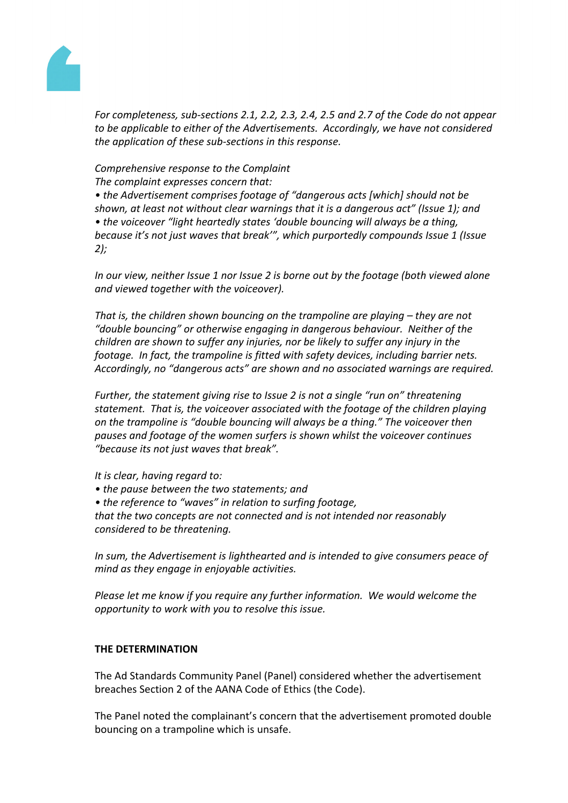

*For completeness, sub-sections 2.1, 2.2, 2.3, 2.4, 2.5 and 2.7 of the Code do not appear to be applicable to either of the Advertisements. Accordingly, we have not considered the application of these sub-sections in this response.*

## *Comprehensive response to the Complaint The complaint expresses concern that:*

*• the Advertisement comprises footage of "dangerous acts [which] should not be shown, at least not without clear warnings that it is a dangerous act" (Issue 1); and • the voiceover "light heartedly states 'double bouncing will always be a thing, because it's not just waves that break'", which purportedly compounds Issue 1 (Issue 2);*

*In our view, neither Issue 1 nor Issue 2 is borne out by the footage (both viewed alone and viewed together with the voiceover).* 

*That is, the children shown bouncing on the trampoline are playing – they are not "double bouncing" or otherwise engaging in dangerous behaviour. Neither of the children are shown to suffer any injuries, nor be likely to suffer any injury in the footage. In fact, the trampoline is fitted with safety devices, including barrier nets. Accordingly, no "dangerous acts" are shown and no associated warnings are required.*

*Further, the statement giving rise to Issue 2 is not a single "run on" threatening statement. That is, the voiceover associated with the footage of the children playing on the trampoline is "double bouncing will always be a thing." The voiceover then pauses and footage of the women surfers is shown whilst the voiceover continues "because its not just waves that break".* 

*It is clear, having regard to:*

- *• the pause between the two statements; and*
- *• the reference to "waves" in relation to surfing footage,*

*that the two concepts are not connected and is not intended nor reasonably considered to be threatening.* 

*In sum, the Advertisement is lighthearted and is intended to give consumers peace of mind as they engage in enjoyable activities.*

*Please let me know if you require any further information. We would welcome the opportunity to work with you to resolve this issue.*

## **THE DETERMINATION**

The Ad Standards Community Panel (Panel) considered whether the advertisement breaches Section 2 of the AANA Code of Ethics (the Code).

The Panel noted the complainant's concern that the advertisement promoted double bouncing on a trampoline which is unsafe.